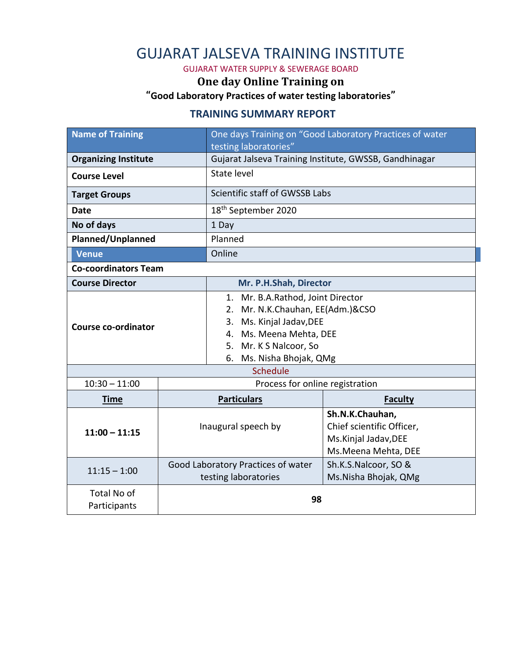## GUJARAT JALSEVA TRAINING INSTITUTE

GUJARAT WATER SUPPLY & SEWERAGE BOARD

### **One day Online Training on**

**"Good Laboratory Practices of water testing laboratories"**

#### **TRAINING SUMMARY REPORT**

| <b>Name of Training</b>                          |                                                        | One days Training on "Good Laboratory Practices of water                                                                                                                                    |                                                                                              |  |
|--------------------------------------------------|--------------------------------------------------------|---------------------------------------------------------------------------------------------------------------------------------------------------------------------------------------------|----------------------------------------------------------------------------------------------|--|
|                                                  |                                                        | testing laboratories"                                                                                                                                                                       |                                                                                              |  |
| <b>Organizing Institute</b>                      | Gujarat Jalseva Training Institute, GWSSB, Gandhinagar |                                                                                                                                                                                             |                                                                                              |  |
| <b>Course Level</b>                              |                                                        | State level                                                                                                                                                                                 |                                                                                              |  |
| <b>Target Groups</b>                             |                                                        | Scientific staff of GWSSB Labs                                                                                                                                                              |                                                                                              |  |
| <b>Date</b>                                      |                                                        | 18 <sup>th</sup> September 2020                                                                                                                                                             |                                                                                              |  |
| No of days                                       |                                                        | 1 Day                                                                                                                                                                                       |                                                                                              |  |
| Planned/Unplanned                                |                                                        | Planned                                                                                                                                                                                     |                                                                                              |  |
| <b>Venue</b>                                     |                                                        | Online                                                                                                                                                                                      |                                                                                              |  |
| <b>Co-coordinators Team</b>                      |                                                        |                                                                                                                                                                                             |                                                                                              |  |
| <b>Course Director</b><br>Mr. P.H.Shah, Director |                                                        |                                                                                                                                                                                             |                                                                                              |  |
| Course co-ordinator                              |                                                        | 1. Mr. B.A.Rathod, Joint Director<br>Mr. N.K.Chauhan, EE(Adm.)&CSO<br>2.<br>Ms. Kinjal Jadav, DEE<br>3.<br>4. Ms. Meena Mehta, DEE<br>5. Mr. K S Nalcoor, So<br>Ms. Nisha Bhojak, QMg<br>6. |                                                                                              |  |
|                                                  | Schedule                                               |                                                                                                                                                                                             |                                                                                              |  |
| $10:30 - 11:00$                                  |                                                        | Process for online registration                                                                                                                                                             |                                                                                              |  |
| <b>Time</b>                                      |                                                        | <b>Particulars</b>                                                                                                                                                                          | <b>Faculty</b>                                                                               |  |
| $11:00 - 11:15$                                  |                                                        | Inaugural speech by                                                                                                                                                                         | Sh.N.K.Chauhan,<br>Chief scientific Officer,<br>Ms.Kinjal Jadav, DEE<br>Ms. Meena Mehta, DEE |  |
| $11:15 - 1:00$                                   |                                                        | Good Laboratory Practices of water<br>testing laboratories                                                                                                                                  | Sh.K.S.Nalcoor, SO &<br>Ms.Nisha Bhojak, QMg                                                 |  |
| Total No of<br>Participants                      |                                                        | 98                                                                                                                                                                                          |                                                                                              |  |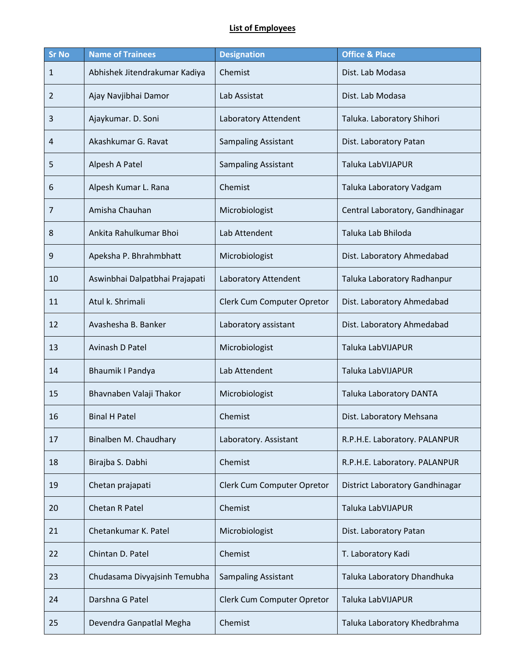#### **List of Employees**

| <b>Sr No</b> | <b>Name of Trainees</b>        | <b>Designation</b>         | <b>Office &amp; Place</b>       |
|--------------|--------------------------------|----------------------------|---------------------------------|
| 1            | Abhishek Jitendrakumar Kadiya  | Chemist                    | Dist. Lab Modasa                |
| 2            | Ajay Navjibhai Damor           | Lab Assistat               | Dist. Lab Modasa                |
| 3            | Ajaykumar. D. Soni             | Laboratory Attendent       | Taluka. Laboratory Shihori      |
| 4            | Akashkumar G. Ravat            | <b>Sampaling Assistant</b> | Dist. Laboratory Patan          |
| 5            | Alpesh A Patel                 | <b>Sampaling Assistant</b> | Taluka LabVIJAPUR               |
| 6            | Alpesh Kumar L. Rana           | Chemist                    | Taluka Laboratory Vadgam        |
| 7            | Amisha Chauhan                 | Microbiologist             | Central Laboratory, Gandhinagar |
| 8            | Ankita Rahulkumar Bhoi         | Lab Attendent              | Taluka Lab Bhiloda              |
| 9            | Apeksha P. Bhrahmbhatt         | Microbiologist             | Dist. Laboratory Ahmedabad      |
| 10           | Aswinbhai Dalpatbhai Prajapati | Laboratory Attendent       | Taluka Laboratory Radhanpur     |
| 11           | Atul k. Shrimali               | Clerk Cum Computer Opretor | Dist. Laboratory Ahmedabad      |
| 12           | Avashesha B. Banker            | Laboratory assistant       | Dist. Laboratory Ahmedabad      |
| 13           | Avinash D Patel                | Microbiologist             | Taluka LabVIJAPUR               |
| 14           | <b>Bhaumik I Pandya</b>        | Lab Attendent              | Taluka LabVIJAPUR               |
| 15           | Bhavnaben Valaji Thakor        | Microbiologist             | Taluka Laboratory DANTA         |
| 16           | <b>Binal H Patel</b>           | Chemist                    | Dist. Laboratory Mehsana        |
| 17           | Binalben M. Chaudhary          | Laboratory. Assistant      | R.P.H.E. Laboratory. PALANPUR   |
| 18           | Birajba S. Dabhi               | Chemist                    | R.P.H.E. Laboratory. PALANPUR   |
| 19           | Chetan prajapati               | Clerk Cum Computer Opretor | District Laboratory Gandhinagar |
| 20           | Chetan R Patel                 | Chemist                    | Taluka LabVIJAPUR               |
| 21           | Chetankumar K. Patel           | Microbiologist             | Dist. Laboratory Patan          |
| 22           | Chintan D. Patel               | Chemist                    | T. Laboratory Kadi              |
| 23           | Chudasama Divyajsinh Temubha   | <b>Sampaling Assistant</b> | Taluka Laboratory Dhandhuka     |
| 24           | Darshna G Patel                | Clerk Cum Computer Opretor | Taluka LabVIJAPUR               |
| 25           | Devendra Ganpatlal Megha       | Chemist                    | Taluka Laboratory Khedbrahma    |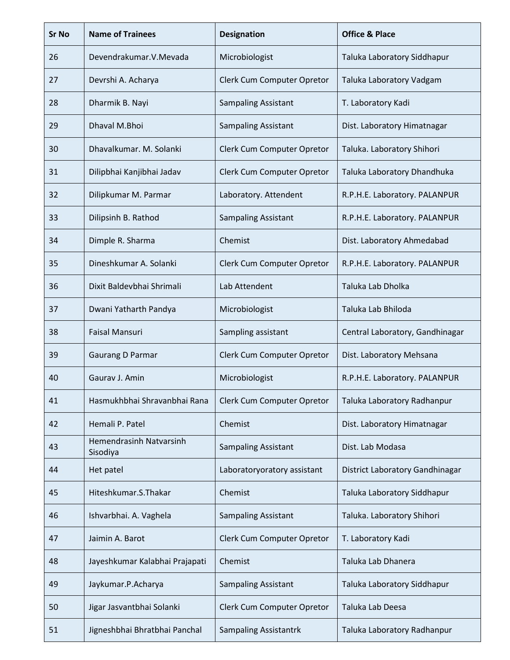| <b>Sr No</b> | <b>Name of Trainees</b>             | <b>Designation</b>           | <b>Office &amp; Place</b>       |
|--------------|-------------------------------------|------------------------------|---------------------------------|
| 26           | Devendrakumar.V.Mevada              | Microbiologist               | Taluka Laboratory Siddhapur     |
| 27           | Devrshi A. Acharya                  | Clerk Cum Computer Opretor   | Taluka Laboratory Vadgam        |
| 28           | Dharmik B. Nayi                     | <b>Sampaling Assistant</b>   | T. Laboratory Kadi              |
| 29           | Dhaval M.Bhoi                       | <b>Sampaling Assistant</b>   | Dist. Laboratory Himatnagar     |
| 30           | Dhavalkumar. M. Solanki             | Clerk Cum Computer Opretor   | Taluka. Laboratory Shihori      |
| 31           | Dilipbhai Kanjibhai Jadav           | Clerk Cum Computer Opretor   | Taluka Laboratory Dhandhuka     |
| 32           | Dilipkumar M. Parmar                | Laboratory. Attendent        | R.P.H.E. Laboratory. PALANPUR   |
| 33           | Dilipsinh B. Rathod                 | <b>Sampaling Assistant</b>   | R.P.H.E. Laboratory. PALANPUR   |
| 34           | Dimple R. Sharma                    | Chemist                      | Dist. Laboratory Ahmedabad      |
| 35           | Dineshkumar A. Solanki              | Clerk Cum Computer Opretor   | R.P.H.E. Laboratory. PALANPUR   |
| 36           | Dixit Baldevbhai Shrimali           | Lab Attendent                | Taluka Lab Dholka               |
| 37           | Dwani Yatharth Pandya               | Microbiologist               | Taluka Lab Bhiloda              |
| 38           | <b>Faisal Mansuri</b>               | Sampling assistant           | Central Laboratory, Gandhinagar |
| 39           | Gaurang D Parmar                    | Clerk Cum Computer Opretor   | Dist. Laboratory Mehsana        |
| 40           | Gauray J. Amin                      | Microbiologist               | R.P.H.E. Laboratory. PALANPUR   |
| 41           | Hasmukhbhai Shravanbhai Rana        | Clerk Cum Computer Opretor   | Taluka Laboratory Radhanpur     |
| 42           | Hemali P. Patel                     | Chemist                      | Dist. Laboratory Himatnagar     |
| 43           | Hemendrasinh Natvarsinh<br>Sisodiya | <b>Sampaling Assistant</b>   | Dist. Lab Modasa                |
| 44           | Het patel                           | Laboratoryoratory assistant  | District Laboratory Gandhinagar |
| 45           | Hiteshkumar.S.Thakar                | Chemist                      | Taluka Laboratory Siddhapur     |
| 46           | Ishvarbhai. A. Vaghela              | <b>Sampaling Assistant</b>   | Taluka. Laboratory Shihori      |
| 47           | Jaimin A. Barot                     | Clerk Cum Computer Opretor   | T. Laboratory Kadi              |
| 48           | Jayeshkumar Kalabhai Prajapati      | Chemist                      | Taluka Lab Dhanera              |
| 49           | Jaykumar.P.Acharya                  | <b>Sampaling Assistant</b>   | Taluka Laboratory Siddhapur     |
| 50           | Jigar Jasvantbhai Solanki           | Clerk Cum Computer Opretor   | Taluka Lab Deesa                |
| 51           | Jigneshbhai Bhratbhai Panchal       | <b>Sampaling Assistantrk</b> | Taluka Laboratory Radhanpur     |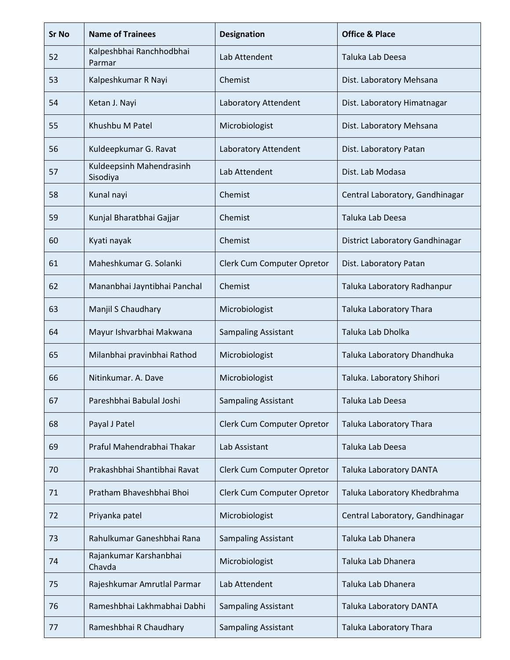| <b>Sr No</b> | <b>Name of Trainees</b>              | <b>Designation</b>         | <b>Office &amp; Place</b>       |
|--------------|--------------------------------------|----------------------------|---------------------------------|
| 52           | Kalpeshbhai Ranchhodbhai<br>Parmar   | Lab Attendent              | Taluka Lab Deesa                |
| 53           | Kalpeshkumar R Nayi                  | Chemist                    | Dist. Laboratory Mehsana        |
| 54           | Ketan J. Nayi                        | Laboratory Attendent       | Dist. Laboratory Himatnagar     |
| 55           | Khushbu M Patel                      | Microbiologist             | Dist. Laboratory Mehsana        |
| 56           | Kuldeepkumar G. Ravat                | Laboratory Attendent       | Dist. Laboratory Patan          |
| 57           | Kuldeepsinh Mahendrasinh<br>Sisodiya | Lab Attendent              | Dist. Lab Modasa                |
| 58           | Kunal nayi                           | Chemist                    | Central Laboratory, Gandhinagar |
| 59           | Kunjal Bharatbhai Gajjar             | Chemist                    | Taluka Lab Deesa                |
| 60           | Kyati nayak                          | Chemist                    | District Laboratory Gandhinagar |
| 61           | Maheshkumar G. Solanki               | Clerk Cum Computer Opretor | Dist. Laboratory Patan          |
| 62           | Mananbhai Jayntibhai Panchal         | Chemist                    | Taluka Laboratory Radhanpur     |
| 63           | Manjil S Chaudhary                   | Microbiologist             | Taluka Laboratory Thara         |
| 64           | Mayur Ishvarbhai Makwana             | <b>Sampaling Assistant</b> | Taluka Lab Dholka               |
| 65           | Milanbhai pravinbhai Rathod          | Microbiologist             | Taluka Laboratory Dhandhuka     |
| 66           | Nitinkumar. A. Dave                  | Microbiologist             | Taluka. Laboratory Shihori      |
| 67           | Pareshbhai Babulal Joshi             | <b>Sampaling Assistant</b> | Taluka Lab Deesa                |
| 68           | Payal J Patel                        | Clerk Cum Computer Opretor | <b>Taluka Laboratory Thara</b>  |
| 69           | Praful Mahendrabhai Thakar           | Lab Assistant              | Taluka Lab Deesa                |
| 70           | Prakashbhai Shantibhai Ravat         | Clerk Cum Computer Opretor | <b>Taluka Laboratory DANTA</b>  |
| 71           | Pratham Bhaveshbhai Bhoi             | Clerk Cum Computer Opretor | Taluka Laboratory Khedbrahma    |
| 72           | Priyanka patel                       | Microbiologist             | Central Laboratory, Gandhinagar |
| 73           | Rahulkumar Ganeshbhai Rana           | <b>Sampaling Assistant</b> | Taluka Lab Dhanera              |
| 74           | Rajankumar Karshanbhai<br>Chavda     | Microbiologist             | Taluka Lab Dhanera              |
| 75           | Rajeshkumar Amrutlal Parmar          | Lab Attendent              | Taluka Lab Dhanera              |
| 76           | Rameshbhai Lakhmabhai Dabhi          | <b>Sampaling Assistant</b> | Taluka Laboratory DANTA         |
| 77           | Rameshbhai R Chaudhary               | <b>Sampaling Assistant</b> | Taluka Laboratory Thara         |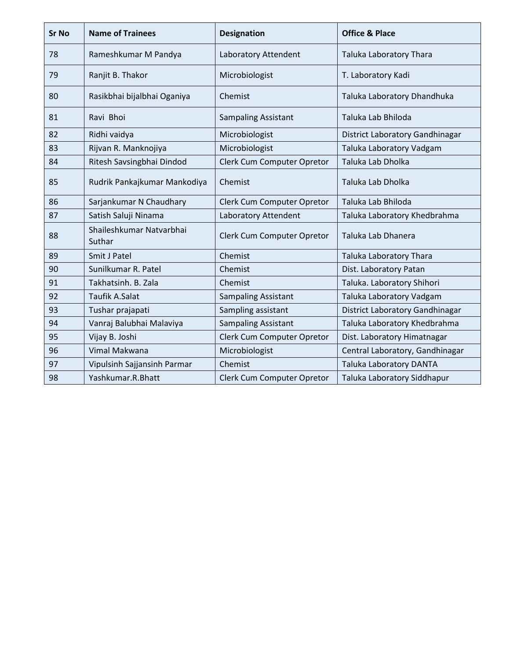| <b>Sr No</b> | <b>Name of Trainees</b>            | <b>Designation</b>         | <b>Office &amp; Place</b>       |
|--------------|------------------------------------|----------------------------|---------------------------------|
| 78           | Rameshkumar M Pandya               | Laboratory Attendent       | <b>Taluka Laboratory Thara</b>  |
| 79           | Ranjit B. Thakor                   | Microbiologist             | T. Laboratory Kadi              |
| 80           | Rasikbhai bijalbhai Oganiya        | Chemist                    | Taluka Laboratory Dhandhuka     |
| 81           | Ravi Bhoi                          | <b>Sampaling Assistant</b> | Taluka Lab Bhiloda              |
| 82           | Ridhi vaidya                       | Microbiologist             | District Laboratory Gandhinagar |
| 83           | Rijvan R. Manknojiya               | Microbiologist             | Taluka Laboratory Vadgam        |
| 84           | Ritesh Savsingbhai Dindod          | Clerk Cum Computer Opretor | Taluka Lab Dholka               |
| 85           | Rudrik Pankajkumar Mankodiya       | Chemist                    | Taluka Lab Dholka               |
| 86           | Sarjankumar N Chaudhary            | Clerk Cum Computer Opretor | Taluka Lab Bhiloda              |
| 87           | Satish Saluji Ninama               | Laboratory Attendent       | Taluka Laboratory Khedbrahma    |
| 88           | Shaileshkumar Natvarbhai<br>Suthar | Clerk Cum Computer Opretor | Taluka Lab Dhanera              |
| 89           | Smit J Patel                       | Chemist                    | Taluka Laboratory Thara         |
| 90           | Sunilkumar R. Patel                | Chemist                    | Dist. Laboratory Patan          |
| 91           | Takhatsinh. B. Zala                | Chemist                    | Taluka. Laboratory Shihori      |
| 92           | Taufik A.Salat                     | <b>Sampaling Assistant</b> | Taluka Laboratory Vadgam        |
| 93           | Tushar prajapati                   | Sampling assistant         | District Laboratory Gandhinagar |
| 94           | Vanraj Balubhai Malaviya           | <b>Sampaling Assistant</b> | Taluka Laboratory Khedbrahma    |
| 95           | Vijay B. Joshi                     | Clerk Cum Computer Opretor | Dist. Laboratory Himatnagar     |
| 96           | Vimal Makwana                      | Microbiologist             | Central Laboratory, Gandhinagar |
| 97           | Vipulsinh Sajjansinh Parmar        | Chemist                    | <b>Taluka Laboratory DANTA</b>  |
| 98           | Yashkumar.R.Bhatt                  | Clerk Cum Computer Opretor | Taluka Laboratory Siddhapur     |